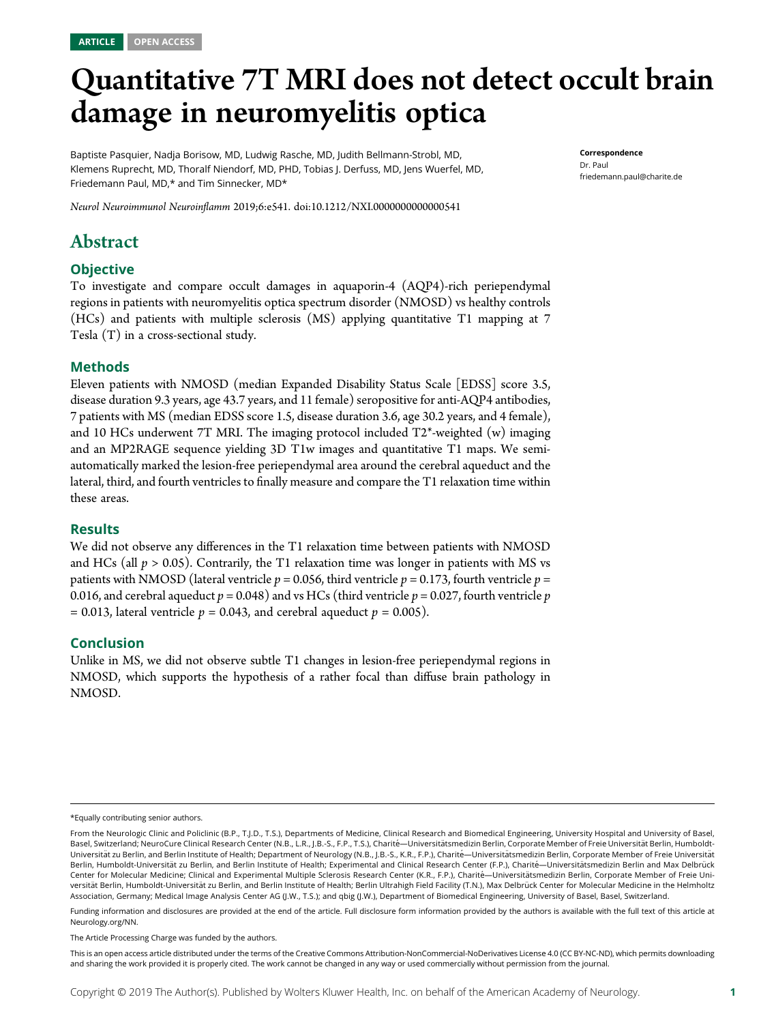# Quantitative 7T MRI does not detect occult brain damage in neuromyelitis optica

Baptiste Pasquier, Nadja Borisow, MD, Ludwig Rasche, MD, Judith Bellmann-Strobl, MD, Klemens Ruprecht, MD, Thoralf Niendorf, MD, PHD, Tobias J. Derfuss, MD, Jens Wuerfel, MD, Friedemann Paul, MD,\* and Tim Sinnecker, MD\*

Correspondence Dr. Paul [friedemann.paul@charite.de](mailto:friedemann.paul@charite.de)

Neurol Neuroimmunol Neuroinflamm 2019;6:e541. doi[:10.1212/NXI.0000000000000541](http://dx.doi.org/10.1212/NXI.0000000000000541)

# Abstract

#### **Objective**

To investigate and compare occult damages in aquaporin-4 (AQP4)-rich periependymal regions in patients with neuromyelitis optica spectrum disorder (NMOSD) vs healthy controls (HCs) and patients with multiple sclerosis (MS) applying quantitative T1 mapping at 7 Tesla (T) in a cross-sectional study.

#### Methods

Eleven patients with NMOSD (median Expanded Disability Status Scale [EDSS] score 3.5, disease duration 9.3 years, age 43.7 years, and 11 female) seropositive for anti-AQP4 antibodies, 7 patients with MS (median EDSS score 1.5, disease duration 3.6, age 30.2 years, and 4 female), and 10 HCs underwent 7T MRI. The imaging protocol included T2\*-weighted (w) imaging and an MP2RAGE sequence yielding 3D T1w images and quantitative T1 maps. We semiautomatically marked the lesion-free periependymal area around the cerebral aqueduct and the lateral, third, and fourth ventricles to finally measure and compare the T1 relaxation time within these areas.

#### Results

We did not observe any differences in the T1 relaxation time between patients with NMOSD and HCs (all  $p > 0.05$ ). Contrarily, the T1 relaxation time was longer in patients with MS vs patients with NMOSD (lateral ventricle  $p = 0.056$ , third ventricle  $p = 0.173$ , fourth ventricle  $p =$ 0.016, and cerebral aqueduct  $p = 0.048$ ) and vs HCs (third ventricle  $p = 0.027$ , fourth ventricle p = 0.013, lateral ventricle  $p = 0.043$ , and cerebral aqueduct  $p = 0.005$ ).

#### Conclusion

Unlike in MS, we did not observe subtle T1 changes in lesion-free periependymal regions in NMOSD, which supports the hypothesis of a rather focal than diffuse brain pathology in NMOSD.

Funding information and disclosures are provided at the end of the article. Full disclosure form information provided by the authors is available with the full text of this article at [Neurology.org/NN](http://nn.neurology.org/content/6/2/e541/tab-article-info).

The Article Processing Charge was funded by the authors.

<sup>\*</sup>Equally contributing senior authors.

From the Neurologic Clinic and Policlinic (B.P., T.J.D., T.S.), Departments of Medicine, Clinical Research and Biomedical Engineering, University Hospital and University of Basel, Basel, Switzerland; NeuroCure Clinical Research Center (N.B., L.R., J.B.-S., F.P., T.S.), Charité—Universitätsmedizin Berlin, Corporate Member of Freie Universität Berlin, Humboldt-Universität zu Berlin, and Berlin Institute of Health; Department of Neurology (N.B., J.B.-S., K.R., F.P.), Charité—Universitätsmedizin Berlin, Corporate Member of Freie Universität Berlin, Humboldt-Universität zu Berlin, and Berlin Institute of Health; Experimental and Clinical Research Center (F.P.), Charité—Universitätsmedizin Berlin and Max Delbrück Center for Molecular Medicine; Clinical and Experimental Multiple Sclerosis Research Center (K.R., F.P.), Charité-Universitätsmedizin Berlin, Corporate Member of Freie Universität Berlin, Humboldt-Universität zu Berlin, and Berlin Institute of Health; Berlin Ultrahigh Field Facility (T.N.), Max Delbrück Center for Molecular Medicine in the Helmholtz Association, Germany; Medical Image Analysis Center AG (J.W., T.S.); and qbig (J.W.), Department of Biomedical Engineering, University of Basel, Basel, Switzerland.

This is an open access article distributed under the terms of the [Creative Commons Attribution-NonCommercial-NoDerivatives License 4.0 \(CC BY-NC-ND\),](http://creativecommons.org/licenses/by-nc-nd/4.0/) which permits downloading and sharing the work provided it is properly cited. The work cannot be changed in any way or used commercially without permission from the journal.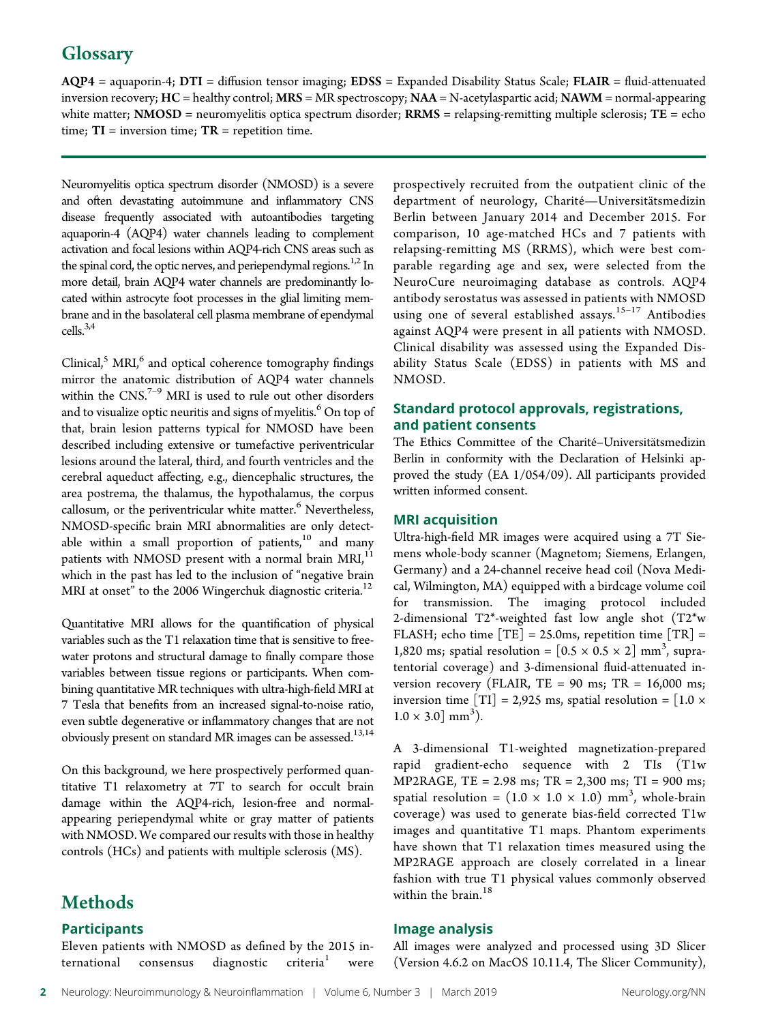# **Glossary**

 $AQP4$  = aquaporin-4;  $DTI$  = diffusion tensor imaging;  $EDSS$  = Expanded Disability Status Scale;  $FLAIR$  = fluid-attenuated inversion recovery; HC = healthy control; MRS = MR spectroscopy; NAA = N-acetylaspartic acid; NAWM = normal-appearing white matter;  $NMOSD$  = neuromyelitis optica spectrum disorder;  $RRMS$  = relapsing-remitting multiple sclerosis;  $TE$  = echo time;  $TI =$  inversion time;  $TR =$  repetition time.

Neuromyelitis optica spectrum disorder (NMOSD) is a severe and often devastating autoimmune and inflammatory CNS disease frequently associated with autoantibodies targeting aquaporin-4 (AQP4) water channels leading to complement activation and focal lesions within AQP4-rich CNS areas such as the spinal cord, the optic nerves, and periependymal regions.<sup>1,2</sup> In more detail, brain AQP4 water channels are predominantly located within astrocyte foot processes in the glial limiting membrane and in the basolateral cell plasma membrane of ependymal  $\text{cells}$ <sup>3,4</sup>

Clinical,<sup>5</sup> MRI,<sup>6</sup> and optical coherence tomography findings mirror the anatomic distribution of AQP4 water channels within the  $CNS.<sup>7-9</sup>$  MRI is used to rule out other disorders and to visualize optic neuritis and signs of myelitis.<sup>6</sup> On top of that, brain lesion patterns typical for NMOSD have been described including extensive or tumefactive periventricular lesions around the lateral, third, and fourth ventricles and the cerebral aqueduct affecting, e.g., diencephalic structures, the area postrema, the thalamus, the hypothalamus, the corpus callosum, or the periventricular white matter.<sup>6</sup> Nevertheless, NMOSD-specific brain MRI abnormalities are only detectable within a small proportion of patients,<sup>10</sup> and many patients with NMOSD present with a normal brain  $MRI$ ,<sup>11</sup> which in the past has led to the inclusion of "negative brain MRI at onset" to the 2006 Wingerchuk diagnostic criteria.<sup>12</sup>

Quantitative MRI allows for the quantification of physical variables such as the T1 relaxation time that is sensitive to freewater protons and structural damage to finally compare those variables between tissue regions or participants. When combining quantitative MR techniques with ultra-high-field MRI at 7 Tesla that benefits from an increased signal-to-noise ratio, even subtle degenerative or inflammatory changes that are not obviously present on standard MR images can be assessed.<sup>13,14</sup>

On this background, we here prospectively performed quantitative T1 relaxometry at 7T to search for occult brain damage within the AQP4-rich, lesion-free and normalappearing periependymal white or gray matter of patients with NMOSD. We compared our results with those in healthy controls (HCs) and patients with multiple sclerosis (MS).

# **Methods**

#### Participants

Eleven patients with NMOSD as defined by the 2015 in $t$ ernational consensus diagnostic criteria $^1$  were prospectively recruited from the outpatient clinic of the department of neurology, Charité—Universitätsmedizin Berlin between January 2014 and December 2015. For comparison, 10 age-matched HCs and 7 patients with relapsing-remitting MS (RRMS), which were best comparable regarding age and sex, were selected from the NeuroCure neuroimaging database as controls. AQP4 antibody serostatus was assessed in patients with NMOSD using one of several established assays.<sup>15–17</sup> Antibodies against AQP4 were present in all patients with NMOSD. Clinical disability was assessed using the Expanded Disability Status Scale (EDSS) in patients with MS and NMOSD.

#### Standard protocol approvals, registrations, and patient consents

The Ethics Committee of the Charité–Universitätsmedizin Berlin in conformity with the Declaration of Helsinki approved the study (EA 1/054/09). All participants provided written informed consent.

#### MRI acquisition

Ultra-high-field MR images were acquired using a 7T Siemens whole-body scanner (Magnetom; Siemens, Erlangen, Germany) and a 24-channel receive head coil (Nova Medical, Wilmington, MA) equipped with a birdcage volume coil for transmission. The imaging protocol included 2-dimensional T2\*-weighted fast low angle shot (T2\*w FLASH; echo time [TE] = 25.0ms, repetition time [TR] = 1,820 ms; spatial resolution =  $[0.5 \times 0.5 \times 2]$  mm<sup>3</sup>, supratentorial coverage) and 3-dimensional fluid-attenuated inversion recovery (FLAIR, TE = 90 ms; TR =  $16,000$  ms; inversion time  $[TI] = 2,925$  ms, spatial resolution =  $[1.0 \times$  $1.0 \times 3.0$ ] mm<sup>3</sup>).

A 3-dimensional T1-weighted magnetization-prepared rapid gradient-echo sequence with 2 TIs (T1w MP2RAGE, TE = 2.98 ms; TR = 2,300 ms; TI = 900 ms; spatial resolution =  $(1.0 \times 1.0 \times 1.0)$  mm<sup>3</sup>, whole-brain coverage) was used to generate bias-field corrected T1w images and quantitative T1 maps. Phantom experiments have shown that T1 relaxation times measured using the MP2RAGE approach are closely correlated in a linear fashion with true T1 physical values commonly observed within the brain. $^{18}$ 

#### Image analysis

All images were analyzed and processed using 3D Slicer (Version 4.6.2 on MacOS 10.11.4, The Slicer Community),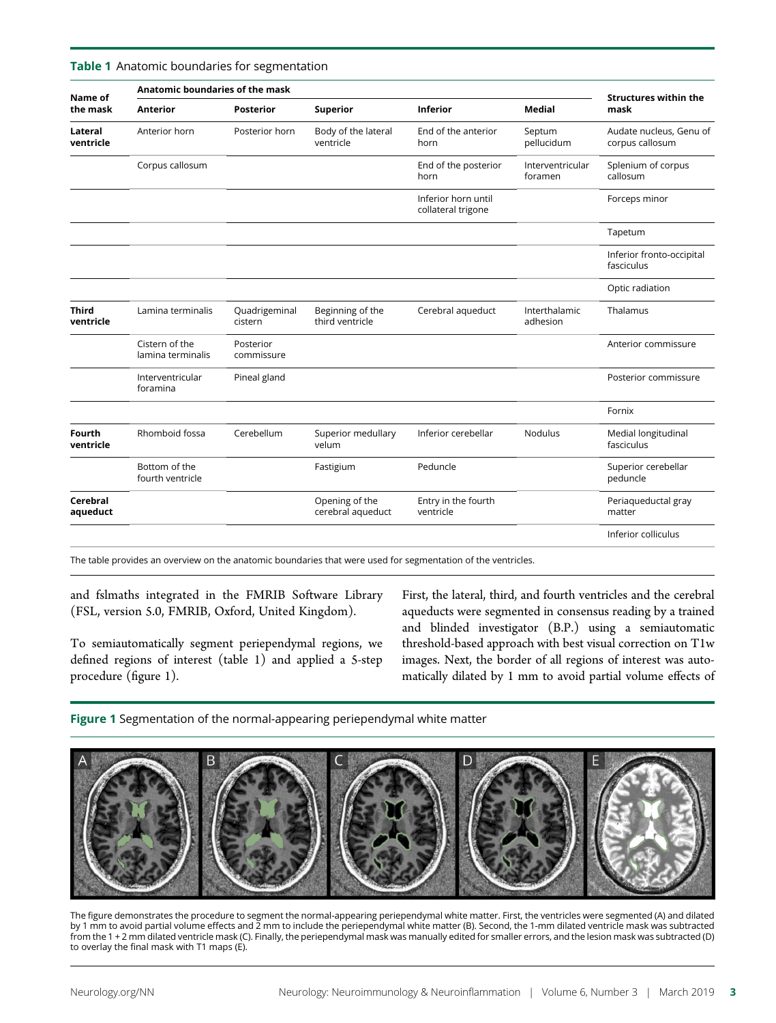Table 1 Anatomic boundaries for segmentation

| Name of<br>the mask        | Anatomic boundaries of the mask     |                          |                                     |                                           |                             | <b>Structures within the</b>               |
|----------------------------|-------------------------------------|--------------------------|-------------------------------------|-------------------------------------------|-----------------------------|--------------------------------------------|
|                            | Anterior                            | <b>Posterior</b>         | <b>Superior</b>                     | <b>Inferior</b>                           | <b>Medial</b>               | mask                                       |
| Lateral<br>ventricle       | Anterior horn                       | Posterior horn           | Body of the lateral<br>ventricle    | End of the anterior<br>horn               | Septum<br>pellucidum        | Audate nucleus, Genu of<br>corpus callosum |
|                            | Corpus callosum                     |                          |                                     | End of the posterior<br>horn              | Interventricular<br>foramen | Splenium of corpus<br>callosum             |
|                            |                                     |                          |                                     | Inferior horn until<br>collateral trigone |                             | Forceps minor                              |
|                            |                                     |                          |                                     |                                           |                             | Tapetum                                    |
|                            |                                     |                          |                                     |                                           |                             | Inferior fronto-occipital<br>fasciculus    |
|                            |                                     |                          |                                     |                                           |                             | Optic radiation                            |
| <b>Third</b><br>ventricle  | Lamina terminalis                   | Quadrigeminal<br>cistern | Beginning of the<br>third ventricle | Cerebral aqueduct                         | Interthalamic<br>adhesion   | Thalamus                                   |
|                            | Cistern of the<br>lamina terminalis | Posterior<br>commissure  |                                     |                                           |                             | Anterior commissure                        |
|                            | Interventricular<br>foramina        | Pineal gland             |                                     |                                           |                             | Posterior commissure                       |
|                            |                                     |                          |                                     |                                           |                             | Fornix                                     |
| <b>Fourth</b><br>ventricle | Rhomboid fossa                      | Cerebellum               | Superior medullary<br>velum         | Inferior cerebellar                       | Nodulus                     | Medial longitudinal<br>fasciculus          |
|                            | Bottom of the<br>fourth ventricle   |                          | Fastigium                           | Peduncle                                  |                             | Superior cerebellar<br>peduncle            |
| Cerebral<br>aqueduct       |                                     |                          | Opening of the<br>cerebral aqueduct | Entry in the fourth<br>ventricle          |                             | Periaqueductal gray<br>matter              |
|                            |                                     |                          |                                     |                                           |                             | Inferior colliculus                        |

The table provides an overview on the anatomic boundaries that were used for segmentation of the ventricles.

and fslmaths integrated in the FMRIB Software Library (FSL, version 5.0, FMRIB, Oxford, United Kingdom).

To semiautomatically segment periependymal regions, we defined regions of interest (table 1) and applied a 5-step procedure (figure 1).

First, the lateral, third, and fourth ventricles and the cerebral aqueducts were segmented in consensus reading by a trained and blinded investigator (B.P.) using a semiautomatic threshold-based approach with best visual correction on T1w images. Next, the border of all regions of interest was automatically dilated by 1 mm to avoid partial volume effects of

Figure 1 Segmentation of the normal-appearing periependymal white matter



The figure demonstrates the procedure to segment the normal-appearing periependymal white matter. First, the ventricles were segmented (A) and dilated by 1 mm to avoid partial volume effects and 2 mm to include the periependymal white matter (B). Second, the 1-mm dilated ventricle mask was subtracted from the 1 + 2 mm dilated ventricle mask (C). Finally, the periependymal mask was manually edited for smaller errors, and the lesion mask was subtracted (D) to overlay the final mask with T1 maps (E).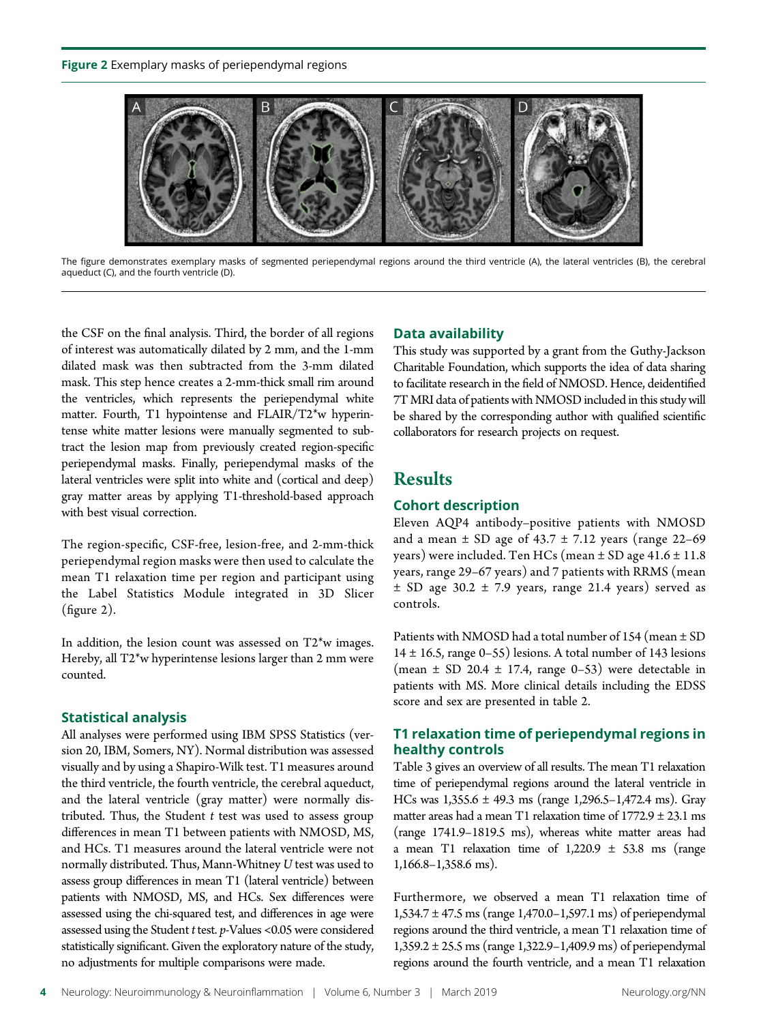#### Figure 2 Exemplary masks of periependymal regions



The figure demonstrates exemplary masks of segmented periependymal regions around the third ventricle (A), the lateral ventricles (B), the cerebral aqueduct (C), and the fourth ventricle (D).

the CSF on the final analysis. Third, the border of all regions of interest was automatically dilated by 2 mm, and the 1-mm dilated mask was then subtracted from the 3-mm dilated mask. This step hence creates a 2-mm-thick small rim around the ventricles, which represents the periependymal white matter. Fourth, T1 hypointense and FLAIR/T2\*w hyperintense white matter lesions were manually segmented to subtract the lesion map from previously created region-specific periependymal masks. Finally, periependymal masks of the lateral ventricles were split into white and (cortical and deep) gray matter areas by applying T1-threshold-based approach with best visual correction.

The region-specific, CSF-free, lesion-free, and 2-mm-thick periependymal region masks were then used to calculate the mean T1 relaxation time per region and participant using the Label Statistics Module integrated in 3D Slicer (figure 2).

In addition, the lesion count was assessed on  $T2^*$ w images. Hereby, all T2\*w hyperintense lesions larger than 2 mm were counted.

#### Statistical analysis

All analyses were performed using IBM SPSS Statistics (version 20, IBM, Somers, NY). Normal distribution was assessed visually and by using a Shapiro-Wilk test. T1 measures around the third ventricle, the fourth ventricle, the cerebral aqueduct, and the lateral ventricle (gray matter) were normally distributed. Thus, the Student  $t$  test was used to assess group differences in mean T1 between patients with NMOSD, MS, and HCs. T1 measures around the lateral ventricle were not normally distributed. Thus, Mann-Whitney U test was used to assess group differences in mean T1 (lateral ventricle) between patients with NMOSD, MS, and HCs. Sex differences were assessed using the chi-squared test, and differences in age were assessed using the Student t test. p-Values <0.05 were considered statistically significant. Given the exploratory nature of the study, no adjustments for multiple comparisons were made.

#### Data availability

This study was supported by a grant from the Guthy-Jackson Charitable Foundation, which supports the idea of data sharing to facilitate research in the field of NMOSD. Hence, deidentified 7T MRI data of patients with NMOSD included in this study will be shared by the corresponding author with qualified scientific collaborators for research projects on request.

### Results

#### Cohort description

Eleven AQP4 antibody–positive patients with NMOSD and a mean  $\pm$  SD age of 43.7  $\pm$  7.12 years (range 22–69 years) were included. Ten HCs (mean  $\pm$  SD age 41.6  $\pm$  11.8 years, range 29–67 years) and 7 patients with RRMS (mean  $\pm$  SD age 30.2  $\pm$  7.9 years, range 21.4 years) served as controls.

Patients with NMOSD had a total number of 154 (mean ± SD  $14 \pm 16.5$ , range 0–55) lesions. A total number of 143 lesions (mean  $\pm$  SD 20.4  $\pm$  17.4, range 0–53) were detectable in patients with MS. More clinical details including the EDSS score and sex are presented in table 2.

#### T1 relaxation time of periependymal regions in healthy controls

Table 3 gives an overview of all results. The mean T1 relaxation time of periependymal regions around the lateral ventricle in HCs was 1,355.6 ± 49.3 ms (range 1,296.5–1,472.4 ms). Gray matter areas had a mean T1 relaxation time of  $1772.9 \pm 23.1$  ms (range 1741.9–1819.5 ms), whereas white matter areas had a mean T1 relaxation time of  $1,220.9 \pm 53.8$  ms (range 1,166.8–1,358.6 ms).

Furthermore, we observed a mean T1 relaxation time of  $1,534.7 \pm 47.5$  ms (range  $1,470.0-1,597.1$  ms) of periependymal regions around the third ventricle, a mean T1 relaxation time of 1,359.2 ± 25.5 ms (range 1,322.9–1,409.9 ms) of periependymal regions around the fourth ventricle, and a mean T1 relaxation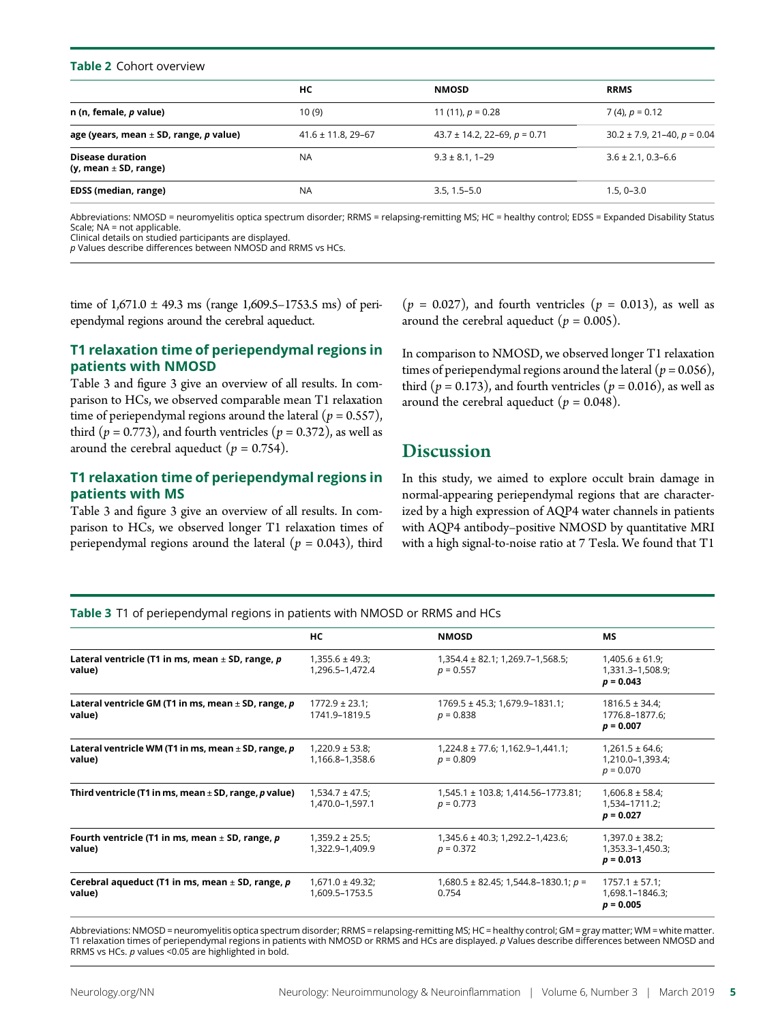#### Table 2 Cohort overview

|                                                      | HС                      | <b>NMOSD</b>                      | <b>RRMS</b>                        |
|------------------------------------------------------|-------------------------|-----------------------------------|------------------------------------|
| n (n, female, p value)                               | 10(9)                   | 11 (11), $p = 0.28$               | $7(4)$ , $p = 0.12$                |
| age (years, mean $\pm$ SD, range, p value)           | $41.6 \pm 11.8$ , 29-67 | $43.7 \pm 14.2$ , 22-69, p = 0.71 | $30.2 \pm 7.9$ , 21-40, $p = 0.04$ |
| <b>Disease duration</b><br>(y, mean $\pm$ SD, range) | <b>NA</b>               | $9.3 \pm 8.1, 1 - 29$             | $3.6 \pm 2.1, 0.3 - 6.6$           |
| EDSS (median, range)                                 | <b>NA</b>               | $3.5, 1.5 - 5.0$                  | $1.5, 0-3.0$                       |

Abbreviations: NMOSD = neuromyelitis optica spectrum disorder; RRMS = relapsing-remitting MS; HC = healthy control; EDSS = Expanded Disability Status Scale; NA = not applicable.

Clinical details on studied participants are displayed.

 $p$  Values describe differences between NMOSD and RRMS vs HCs.

time of  $1,671.0 \pm 49.3$  ms (range  $1,609.5 - 1753.5$  ms) of periependymal regions around the cerebral aqueduct.

#### T1 relaxation time of periependymal regions in patients with NMOSD

Table 3 and figure 3 give an overview of all results. In comparison to HCs, we observed comparable mean T1 relaxation time of periependymal regions around the lateral ( $p = 0.557$ ), third ( $p = 0.773$ ), and fourth ventricles ( $p = 0.372$ ), as well as around the cerebral aqueduct ( $p = 0.754$ ).

#### T1 relaxation time of periependymal regions in patients with MS

Table 3 and figure 3 give an overview of all results. In comparison to HCs, we observed longer T1 relaxation times of periependymal regions around the lateral ( $p = 0.043$ ), third  $(p = 0.027)$ , and fourth ventricles  $(p = 0.013)$ , as well as around the cerebral aqueduct ( $p = 0.005$ ).

In comparison to NMOSD, we observed longer T1 relaxation times of periependymal regions around the lateral ( $p = 0.056$ ), third ( $p = 0.173$ ), and fourth ventricles ( $p = 0.016$ ), as well as around the cerebral aqueduct ( $p = 0.048$ ).

## **Discussion**

In this study, we aimed to explore occult brain damage in normal-appearing periependymal regions that are characterized by a high expression of AQP4 water channels in patients with AQP4 antibody–positive NMOSD by quantitative MRI with a high signal-to-noise ratio at 7 Tesla. We found that T1

Table 3 T1 of periependymal regions in patients with NMOSD or RRMS and HCs

|                                                                   | НC                                      | <b>NMOSD</b>                                            | МS                                                      |  |
|-------------------------------------------------------------------|-----------------------------------------|---------------------------------------------------------|---------------------------------------------------------|--|
| Lateral ventricle (T1 in ms, mean $\pm$ SD, range, p<br>value)    | $1,355.6 \pm 49.3;$<br>1,296.5-1,472.4  | $1,354.4 \pm 82.1$ ; 1,269.7-1,568.5;<br>$p = 0.557$    | $1,405.6 \pm 61.9$ ;<br>1,331.3-1,508.9;<br>$p = 0.043$ |  |
| Lateral ventricle GM (T1 in ms, mean $\pm$ SD, range, p<br>value) | $1772.9 \pm 23.1$ ;<br>1741.9-1819.5    | $1769.5 \pm 45.3$ ; 1,679.9-1831.1;<br>$p = 0.838$      | $1816.5 \pm 34.4;$<br>1776.8-1877.6;<br>$p = 0.007$     |  |
| Lateral ventricle WM (T1 in ms, mean $\pm$ SD, range, p<br>value) | $1,220.9 \pm 53.8$ ;<br>1,166.8-1,358.6 | $1,224.8 \pm 77.6$ ; 1,162.9-1,441.1;<br>$p = 0.809$    | $1,261.5 \pm 64.6;$<br>1,210.0-1,393.4;<br>$p = 0.070$  |  |
| Third ventricle (T1 in ms, mean $\pm$ SD, range, p value)         | $1,534.7 \pm 47.5$ ;<br>1,470.0-1,597.1 | $1,545.1 \pm 103.8; 1,414.56 - 1773.81;$<br>$p = 0.773$ | $1,606.8 \pm 58.4;$<br>1,534-1711.2;<br>$p = 0.027$     |  |
| Fourth ventricle (T1 in ms, mean $\pm$ SD, range, p<br>value)     | $1,359.2 \pm 25.5$ ;<br>1,322.9-1,409.9 | $1,345.6 \pm 40.3; 1,292.2 - 1,423.6;$<br>$p = 0.372$   | $1,397.0 \pm 38.2$ ;<br>1,353.3-1,450.3;<br>$p = 0.013$ |  |
| Cerebral aqueduct (T1 in ms, mean $\pm$ SD, range, p<br>value)    | $1,671.0 \pm 49.32;$<br>1,609.5-1753.5  | $1,680.5 \pm 82.45$ ; 1,544.8-1830.1; p =<br>0.754      | $1757.1 \pm 57.1$ ;<br>1,698.1-1846.3;<br>$p = 0.005$   |  |

Abbreviations: NMOSD = neuromyelitis optica spectrum disorder; RRMS = relapsing-remitting MS; HC = healthy control; GM = gray matter; WM = white matter. T1 relaxation times of periependymal regions in patients with NMOSD or RRMS and HCs are displayed. p Values describe differences between NMOSD and RRMS vs HCs.  $p$  values <0.05 are highlighted in bold.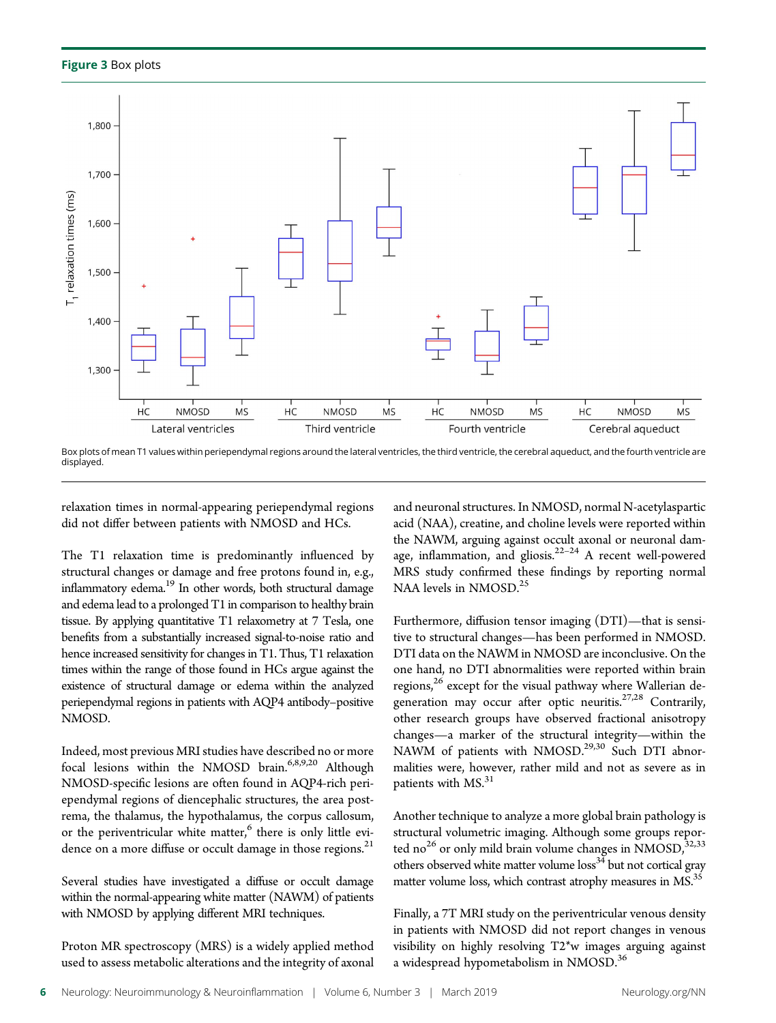



Box plots of mean T1 values within periependymal regions around the lateral ventricles, the third ventricle, the cerebral aqueduct, and the fourth ventricle are displayed.

relaxation times in normal-appearing periependymal regions did not differ between patients with NMOSD and HCs.

The T1 relaxation time is predominantly influenced by structural changes or damage and free protons found in, e.g., inflammatory edema.<sup>19</sup> In other words, both structural damage and edema lead to a prolonged T1 in comparison to healthy brain tissue. By applying quantitative T1 relaxometry at 7 Tesla, one benefits from a substantially increased signal-to-noise ratio and hence increased sensitivity for changes in T1. Thus, T1 relaxation times within the range of those found in HCs argue against the existence of structural damage or edema within the analyzed periependymal regions in patients with AQP4 antibody–positive NMOSD.

Indeed, most previous MRI studies have described no or more focal lesions within the NMOSD brain.<sup>6,8,9,20</sup> Although NMOSD-specific lesions are often found in AQP4-rich periependymal regions of diencephalic structures, the area postrema, the thalamus, the hypothalamus, the corpus callosum, or the periventricular white matter, $6$  there is only little evidence on a more diffuse or occult damage in those regions. $2<sup>1</sup>$ 

Several studies have investigated a diffuse or occult damage within the normal-appearing white matter (NAWM) of patients with NMOSD by applying different MRI techniques.

Proton MR spectroscopy (MRS) is a widely applied method used to assess metabolic alterations and the integrity of axonal and neuronal structures. In NMOSD, normal N-acetylaspartic acid (NAA), creatine, and choline levels were reported within the NAWM, arguing against occult axonal or neuronal damage, inflammation, and gliosis. $22-24$  A recent well-powered MRS study confirmed these findings by reporting normal NAA levels in NMOSD.<sup>25</sup>

Furthermore, diffusion tensor imaging (DTI)—that is sensitive to structural changes—has been performed in NMOSD. DTI data on the NAWM in NMOSD are inconclusive. On the one hand, no DTI abnormalities were reported within brain regions,<sup>26</sup> except for the visual pathway where Wallerian degeneration may occur after optic neuritis.<sup>27,28</sup> Contrarily, other research groups have observed fractional anisotropy changes—a marker of the structural integrity—within the NAWM of patients with NMOSD.<sup>29,30</sup> Such DTI abnormalities were, however, rather mild and not as severe as in patients with MS.<sup>31</sup>

Another technique to analyze a more global brain pathology is structural volumetric imaging. Although some groups reported no<sup>26</sup> or only mild brain volume changes in NMOSD,  $32,33$ others observed white matter volume loss<sup>34</sup> but not cortical gray matter volume loss, which contrast atrophy measures in MS.<sup>35</sup>

Finally, a 7T MRI study on the periventricular venous density in patients with NMOSD did not report changes in venous visibility on highly resolving T2\*w images arguing against a widespread hypometabolism in NMOSD.<sup>36</sup>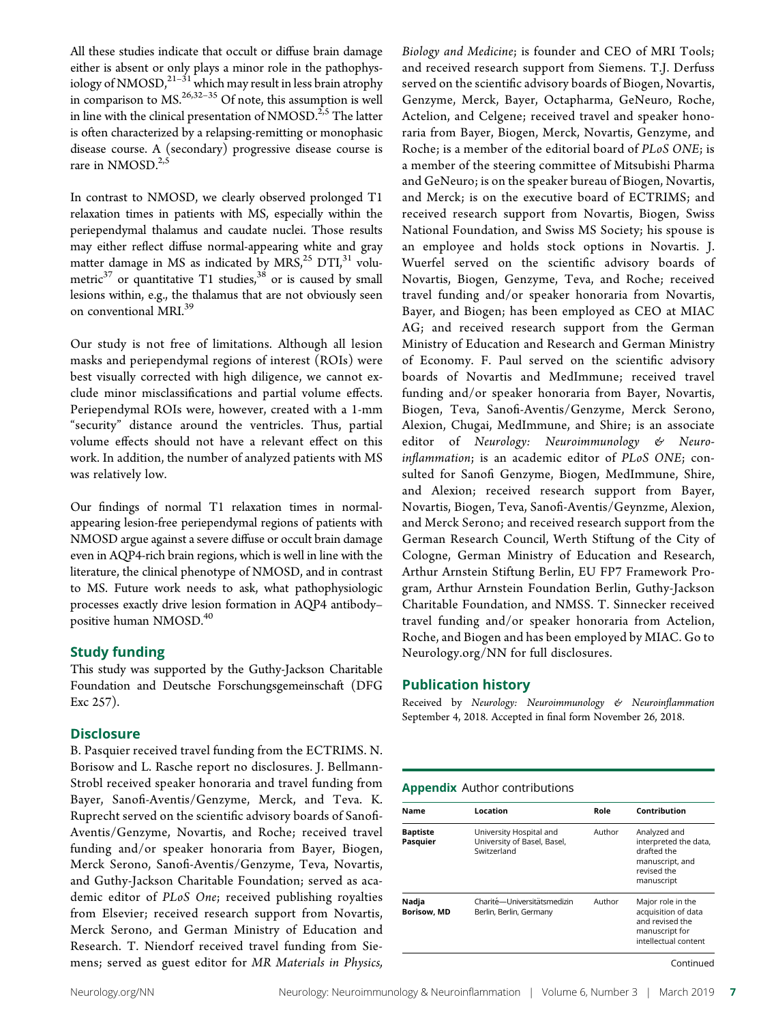All these studies indicate that occult or diffuse brain damage either is absent or only plays a minor role in the pathophysiology of NMOSD, $^{21-31}$  which may result in less brain atrophy in comparison to  $\overrightarrow{MS}^{26,32-35}$  Of note, this assumption is well in line with the clinical presentation of NMOSD.<sup> $2,5$ </sup> The latter is often characterized by a relapsing-remitting or monophasic disease course. A (secondary) progressive disease course is rare in NMOSD.<sup>2,5</sup>

In contrast to NMOSD, we clearly observed prolonged T1 relaxation times in patients with MS, especially within the periependymal thalamus and caudate nuclei. Those results may either reflect diffuse normal-appearing white and gray matter damage in MS as indicated by MRS,<sup>25</sup> DTI,<sup>31</sup> volumetric $37$  or quantitative T1 studies,  $38$  or is caused by small lesions within, e.g., the thalamus that are not obviously seen on conventional MRI.<sup>39</sup>

Our study is not free of limitations. Although all lesion masks and periependymal regions of interest (ROIs) were best visually corrected with high diligence, we cannot exclude minor misclassifications and partial volume effects. Periependymal ROIs were, however, created with a 1-mm "security" distance around the ventricles. Thus, partial volume effects should not have a relevant effect on this work. In addition, the number of analyzed patients with MS was relatively low.

Our findings of normal T1 relaxation times in normalappearing lesion-free periependymal regions of patients with NMOSD argue against a severe diffuse or occult brain damage even in AQP4-rich brain regions, which is well in line with the literature, the clinical phenotype of NMOSD, and in contrast to MS. Future work needs to ask, what pathophysiologic processes exactly drive lesion formation in AQP4 antibody– positive human NMOSD.<sup>40</sup>

#### Study funding

This study was supported by the Guthy-Jackson Charitable Foundation and Deutsche Forschungsgemeinschaft (DFG Exc 257).

#### **Disclosure**

B. Pasquier received travel funding from the ECTRIMS. N. Borisow and L. Rasche report no disclosures. J. Bellmann-Strobl received speaker honoraria and travel funding from Bayer, Sanofi-Aventis/Genzyme, Merck, and Teva. K. Ruprecht served on the scientific advisory boards of Sanofi-Aventis/Genzyme, Novartis, and Roche; received travel funding and/or speaker honoraria from Bayer, Biogen, Merck Serono, Sanofi-Aventis/Genzyme, Teva, Novartis, and Guthy-Jackson Charitable Foundation; served as academic editor of PLoS One; received publishing royalties from Elsevier; received research support from Novartis, Merck Serono, and German Ministry of Education and Research. T. Niendorf received travel funding from Siemens; served as guest editor for MR Materials in Physics,

Biology and Medicine; is founder and CEO of MRI Tools; and received research support from Siemens. T.J. Derfuss served on the scientific advisory boards of Biogen, Novartis, Genzyme, Merck, Bayer, Octapharma, GeNeuro, Roche, Actelion, and Celgene; received travel and speaker honoraria from Bayer, Biogen, Merck, Novartis, Genzyme, and Roche; is a member of the editorial board of PLoS ONE; is a member of the steering committee of Mitsubishi Pharma and GeNeuro; is on the speaker bureau of Biogen, Novartis, and Merck; is on the executive board of ECTRIMS; and received research support from Novartis, Biogen, Swiss National Foundation, and Swiss MS Society; his spouse is an employee and holds stock options in Novartis. J. Wuerfel served on the scientific advisory boards of Novartis, Biogen, Genzyme, Teva, and Roche; received travel funding and/or speaker honoraria from Novartis, Bayer, and Biogen; has been employed as CEO at MIAC AG; and received research support from the German Ministry of Education and Research and German Ministry of Economy. F. Paul served on the scientific advisory boards of Novartis and MedImmune; received travel funding and/or speaker honoraria from Bayer, Novartis, Biogen, Teva, Sanofi-Aventis/Genzyme, Merck Serono, Alexion, Chugai, MedImmune, and Shire; is an associate editor of Neurology: Neuroimmunology & Neuroinflammation; is an academic editor of PLoS ONE; consulted for Sanofi Genzyme, Biogen, MedImmune, Shire, and Alexion; received research support from Bayer, Novartis, Biogen, Teva, Sanofi-Aventis/Geynzme, Alexion, and Merck Serono; and received research support from the German Research Council, Werth Stiftung of the City of Cologne, German Ministry of Education and Research, Arthur Arnstein Stiftung Berlin, EU FP7 Framework Program, Arthur Arnstein Foundation Berlin, Guthy-Jackson Charitable Foundation, and NMSS. T. Sinnecker received travel funding and/or speaker honoraria from Actelion, Roche, and Biogen and has been employed by MIAC. Go to [Neurology.org/NN](http://nn.neurology.org/content/6/2/e541/tab-article-info) for full disclosures.

#### Publication history

Received by Neurology: Neuroimmunology & Neuroinflammation September 4, 2018. Accepted in final form November 26, 2018.

#### Appendix Author contributions

| Name                        | Location                                                              | Role   | Contribution                                                                                          |
|-----------------------------|-----------------------------------------------------------------------|--------|-------------------------------------------------------------------------------------------------------|
| <b>Baptiste</b><br>Pasquier | University Hospital and<br>University of Basel, Basel,<br>Switzerland | Author | Analyzed and<br>interpreted the data,<br>drafted the<br>manuscript, and<br>revised the<br>manuscript  |
| Nadja<br><b>Borisow, MD</b> | Charité-Universitätsmedizin<br>Berlin, Berlin, Germany                | Author | Major role in the<br>acquisition of data<br>and revised the<br>manuscript for<br>intellectual content |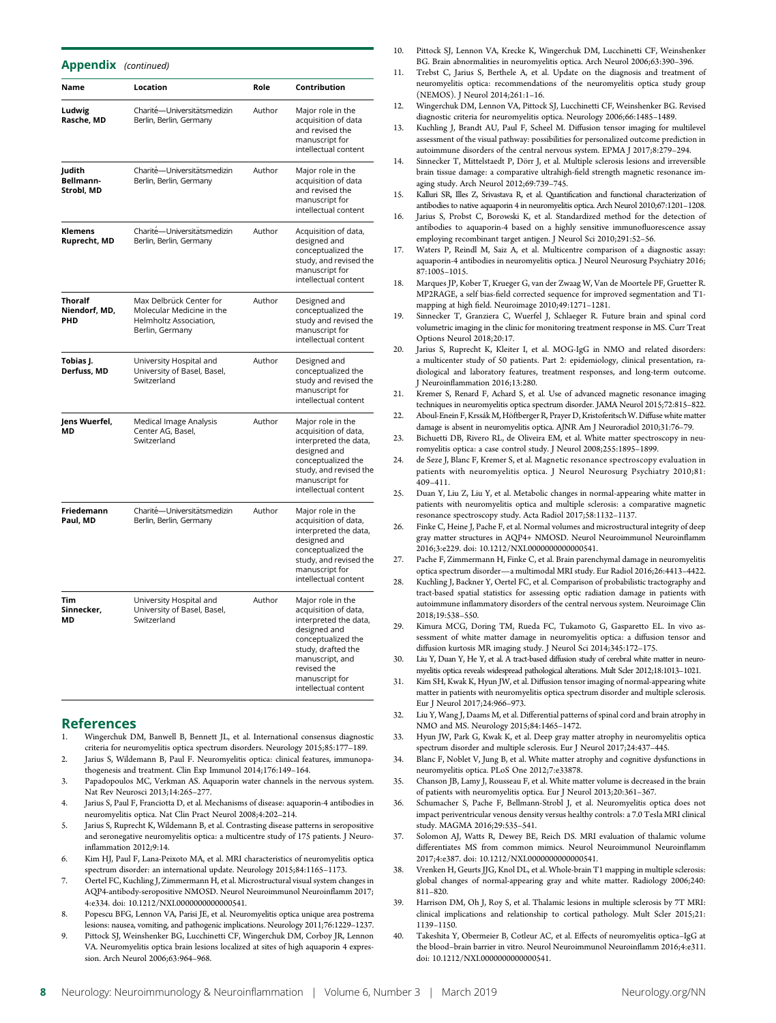| <b>Appendix</b> (continued)       |                                                                                                   |        |                                                                                                                                                                                                            |
|-----------------------------------|---------------------------------------------------------------------------------------------------|--------|------------------------------------------------------------------------------------------------------------------------------------------------------------------------------------------------------------|
| Name                              | Location                                                                                          | Role   | Contribution                                                                                                                                                                                               |
| Ludwig<br>Rasche, MD              | Charité—Universitätsmedizin<br>Berlin, Berlin, Germany                                            | Author | Major role in the<br>acquisition of data<br>and revised the<br>manuscript for<br>intellectual content                                                                                                      |
| Judith<br>Bellmann-<br>Strobl, MD | Charité—Universitätsmedizin<br>Berlin, Berlin, Germany                                            | Author | Major role in the<br>acquisition of data<br>and revised the<br>manuscript for<br>intellectual content                                                                                                      |
| Klemens<br>Ruprecht, MD           | Charité-Universitätsmedizin<br>Berlin, Berlin, Germany                                            | Author | Acquisition of data,<br>designed and<br>conceptualized the<br>study, and revised the<br>manuscript for<br>intellectual content                                                                             |
| Thoralf<br>Niendorf, MD,<br>PHD   | Max Delbrück Center for<br>Molecular Medicine in the<br>Helmholtz Association,<br>Berlin, Germany | Author | Designed and<br>conceptualized the<br>study and revised the<br>manuscript for<br>intellectual content                                                                                                      |
| Tobias J.<br>Derfuss, MD          | University Hospital and<br>University of Basel, Basel,<br>Switzerland                             | Author | Designed and<br>conceptualized the<br>study and revised the<br>manuscript for<br>intellectual content                                                                                                      |
| Jens Wuerfel,<br>ΜD               | Medical Image Analysis<br>Center AG, Basel,<br>Switzerland                                        | Author | Major role in the<br>acquisition of data,<br>interpreted the data,<br>designed and<br>conceptualized the<br>study, and revised the<br>manuscript for<br>intellectual content                               |
| Friedemann<br>Paul, MD            | Charité—Universitätsmedizin<br>Berlin, Berlin, Germany                                            | Author | Major role in the<br>acquisition of data,<br>interpreted the data,<br>designed and<br>conceptualized the<br>study, and revised the<br>manuscript for<br>intellectual content                               |
| Tim<br>Sinnecker,<br><b>MD</b>    | University Hospital and<br>University of Basel, Basel,<br>Switzerland                             | Author | Major role in the<br>acquisition of data,<br>interpreted the data,<br>designed and<br>conceptualized the<br>study, drafted the<br>manuscript, and<br>revised the<br>manuscript for<br>intellectual content |

#### References

- 1. Wingerchuk DM, Banwell B, Bennett JL, et al. International consensus diagnostic criteria for neuromyelitis optica spectrum disorders. Neurology 2015;85:177–189.
- Jarius S, Wildemann B, Paul F. Neuromyelitis optica: clinical features, immunopathogenesis and treatment. Clin Exp Immunol 2014;176:149–164.
- 3. Papadopoulos MC, Verkman AS. Aquaporin water channels in the nervous system. Nat Rev Neurosci 2013;14:265–277.
- 4. Jarius S, Paul F, Franciotta D, et al. Mechanisms of disease: aquaporin-4 antibodies in neuromyelitis optica. Nat Clin Pract Neurol 2008;4:202–214.
- 5. Jarius S, Ruprecht K, Wildemann B, et al. Contrasting disease patterns in seropositive and seronegative neuromyelitis optica: a multicentre study of 175 patients. J Neuroinflammation 2012;9:14.
- 6. Kim HJ, Paul F, Lana-Peixoto MA, et al. MRI characteristics of neuromyelitis optica spectrum disorder: an international update. Neurology 2015;84:1165–1173.
- 7. Oertel FC, Kuchling J, Zimmermann H, et al. Microstructural visual system changes in AQP4-antibody-seropositive NMOSD. Neurol Neuroimmunol Neuroinflamm 2017; 4:e334. [doi: 10.1212/NXI.0000000000000541.](http://nn.neurology.org/content/4/3/e334/tab-article-info)
- 8. Popescu BFG, Lennon VA, Parisi JE, et al. Neuromyelitis optica unique area postrema lesions: nausea, vomiting, and pathogenic implications. Neurology 2011;76:1229–1237.
- 9. Pittock SJ, Weinshenker BG, Lucchinetti CF, Wingerchuk DM, Corboy JR, Lennon VA. Neuromyelitis optica brain lesions localized at sites of high aquaporin 4 expression. Arch Neurol 2006;63:964–968.
- 10. Pittock SJ, Lennon VA, Krecke K, Wingerchuk DM, Lucchinetti CF, Weinshenker BG. Brain abnormalities in neuromyelitis optica. Arch Neurol 2006;63:390–396.
- 11. Trebst C, Jarius S, Berthele A, et al. Update on the diagnosis and treatment of neuromyelitis optica: recommendations of the neuromyelitis optica study group (NEMOS). J Neurol 2014;261:1–16.
- 12. Wingerchuk DM, Lennon VA, Pittock SJ, Lucchinetti CF, Weinshenker BG. Revised diagnostic criteria for neuromyelitis optica. Neurology 2006;66:1485–1489.
- 13. Kuchling J, Brandt AU, Paul F, Scheel M. Diffusion tensor imaging for multilevel assessment of the visual pathway: possibilities for personalized outcome prediction in autoimmune disorders of the central nervous system. EPMA J 2017;8:279–294.
- 14. Sinnecker T, Mittelstaedt P, Dörr J, et al. Multiple sclerosis lesions and irreversible brain tissue damage: a comparative ultrahigh-field strength magnetic resonance imaging study. Arch Neurol 2012;69:739–745.
- 15. Kalluri SR, Illes Z, Srivastava R, et al. Quantification and functional characterization of antibodies to native aquaporin 4 in neuromyelitis optica. Arch Neurol 2010;67:1201–1208.
- 16. Jarius S, Probst C, Borowski K, et al. Standardized method for the detection of antibodies to aquaporin-4 based on a highly sensitive immunofluorescence assay employing recombinant target antigen. J Neurol Sci 2010;291:52–56.
- 17. Waters P, Reindl M, Saiz A, et al. Multicentre comparison of a diagnostic assay: aquaporin-4 antibodies in neuromyelitis optica. J Neurol Neurosurg Psychiatry 2016; 87:1005–1015.
- 18. Marques JP, Kober T, Krueger G, van der Zwaag W, Van de Moortele PF, Gruetter R. MP2RAGE, a self bias-field corrected sequence for improved segmentation and T1 mapping at high field. Neuroimage 2010;49:1271–1281.
- 19. Sinnecker T, Granziera C, Wuerfel J, Schlaeger R. Future brain and spinal cord volumetric imaging in the clinic for monitoring treatment response in MS. Curr Treat Options Neurol 2018;20:17.
- 20. Jarius S, Ruprecht K, Kleiter I, et al. MOG-IgG in NMO and related disorders: a multicenter study of 50 patients. Part 2: epidemiology, clinical presentation, radiological and laboratory features, treatment responses, and long-term outcome. J Neuroinflammation 2016;13:280.
- 21. Kremer S, Renard F, Achard S, et al. Use of advanced magnetic resonance imaging techniques in neuromyelitis optica spectrum disorder. JAMA Neurol 2015;72:815–822.
- 22. Aboul-Enein F, Krssák M, Höftberger R, Prayer D, Kristoferitsch W. Diffuse white matter damage is absent in neuromyelitis optica. AJNR Am J Neuroradiol 2010;31:76–79.
- 23. Bichuetti DB, Rivero RL, de Oliveira EM, et al. White matter spectroscopy in neuromyelitis optica: a case control study. J Neurol 2008;255:1895–1899.
- 24. de Seze J, Blanc F, Kremer S, et al. Magnetic resonance spectroscopy evaluation in patients with neuromyelitis optica. J Neurol Neurosurg Psychiatry 2010;81: 409–411.
- 25. Duan Y, Liu Z, Liu Y, et al. Metabolic changes in normal-appearing white matter in patients with neuromyelitis optica and multiple sclerosis: a comparative magnetic resonance spectroscopy study. Acta Radiol 2017;58:1132–1137.
- 26. Finke C, Heine J, Pache F, et al. Normal volumes and microstructural integrity of deep gray matter structures in AQP4+ NMOSD. Neurol Neuroimmunol Neuroinflamm 2016;3:e229. [doi: 10.1212/NXI.0000000000000541](http://nn.neurology.org/content/3/3/e229/tab-article-info).
- 27. Pache F, Zimmermann H, Finke C, et al. Brain parenchymal damage in neuromyelitis optica spectrum disorder—a multimodal MRI study. Eur Radiol 2016;26:4413–4422.
- 28. Kuchling J, Backner Y, Oertel FC, et al. Comparison of probabilistic tractography and tract-based spatial statistics for assessing optic radiation damage in patients with autoimmune inflammatory disorders of the central nervous system. Neuroimage Clin 2018;19:538–550.
- 29. Kimura MCG, Doring TM, Rueda FC, Tukamoto G, Gasparetto EL. In vivo assessment of white matter damage in neuromyelitis optica: a diffusion tensor and diffusion kurtosis MR imaging study. J Neurol Sci 2014;345:172–175.
- 30. Liu Y, Duan Y, He Y, et al. A tract-based diffusion study of cerebral white matter in neuromyelitis optica reveals widespread pathological alterations. Mult Scler 2012;18:1013–1021.
- 31. Kim SH, Kwak K, Hyun JW, et al. Diffusion tensor imaging of normal-appearing white matter in patients with neuromyelitis optica spectrum disorder and multiple sclerosis. Eur J Neurol 2017;24:966–973.
- 32. Liu Y, Wang J, Daams M, et al. Differential patterns of spinal cord and brain atrophy in NMO and MS. Neurology 2015;84:1465–1472.
- 33. Hyun JW, Park G, Kwak K, et al. Deep gray matter atrophy in neuromyelitis optica spectrum disorder and multiple sclerosis. Eur J Neurol 2017;24:437–445.
- 34. Blanc F, Noblet V, Jung B, et al. White matter atrophy and cognitive dysfunctions in neuromyelitis optica. PLoS One 2012;7:e33878.
- 35. Chanson JB, Lamy J, Rousseau F, et al. White matter volume is decreased in the brain of patients with neuromyelitis optica. Eur J Neurol 2013;20:361–367.
- 36. Schumacher S, Pache F, Bellmann-Strobl J, et al. Neuromyelitis optica does not impact periventricular venous density versus healthy controls: a 7.0 Tesla MRI clinical study. MAGMA 2016;29:535–541.
- 37. Solomon AJ, Watts R, Dewey BE, Reich DS. MRI evaluation of thalamic volume differentiates MS from common mimics. Neurol Neuroimmunol Neuroinflamm 2017;4:e387. [doi: 10.1212/NXI.0000000000000541](http://nn.neurology.org/content/4/5/e387/tab-article-info).
- Vrenken H, Geurts JJG, Knol DL, et al. Whole-brain T1 mapping in multiple sclerosis: global changes of normal-appearing gray and white matter. Radiology 2006;240: 811–820.
- 39. Harrison DM, Oh J, Roy S, et al. Thalamic lesions in multiple sclerosis by 7T MRI: clinical implications and relationship to cortical pathology. Mult Scler 2015;21: 1139–1150.
- 40. Takeshita Y, Obermeier B, Cotleur AC, et al. Effects of neuromyelitis optica–IgG at the blood–brain barrier in vitro. Neurol Neuroimmunol Neuroinflamm 2016;4:e311. [doi: 10.1212/NXI.0000000000000541](http://nn.neurology.org/content/4/1/e311/tab-article-info).